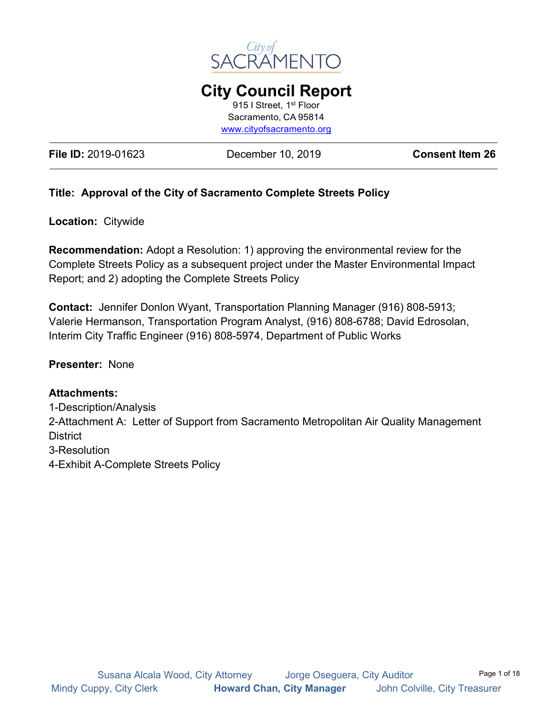

**City Council Report** 915 I Street, 1st Floor Sacramento, CA 95814 [www.cityofsacramento.org](http://www.cityofsacramento.org/)

**File ID:** 2019-01623 December 10, 2019 **Consent Item 26**

### **Title: Approval of the City of Sacramento Complete Streets Policy**

**Location:** Citywide

**Recommendation:** Adopt a Resolution: 1) approving the environmental review for the Complete Streets Policy as a subsequent project under the Master Environmental Impact Report; and 2) adopting the Complete Streets Policy

**Contact:** Jennifer Donlon Wyant, Transportation Planning Manager (916) 808-5913; Valerie Hermanson, Transportation Program Analyst, (916) 808-6788; David Edrosolan, Interim City Traffic Engineer (916) 808-5974, Department of Public Works

### **Presenter:** None

#### **Attachments:**

1-Description/Analysis 2-Attachment A: Letter of Support from Sacramento Metropolitan Air Quality Management **District** 3-Resolution 4-Exhibit A-Complete Streets Policy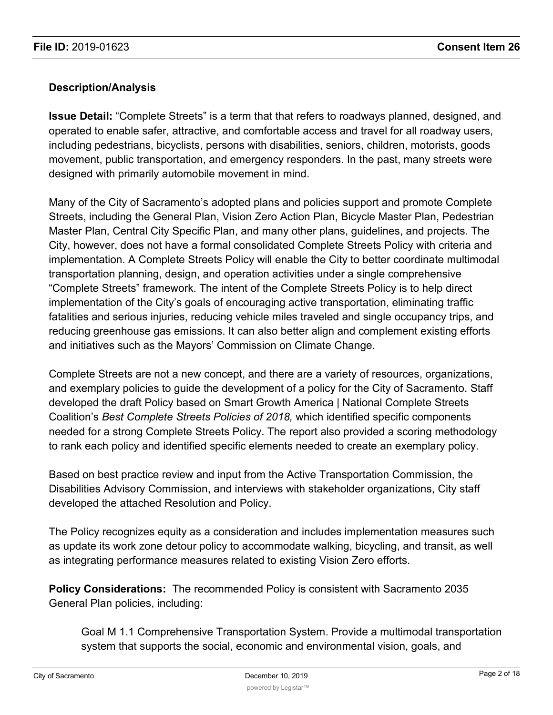### **Description/Analysis**

**Issue Detail:** "Complete Streets" is a term that that refers to roadways planned, designed, and operated to enable safer, attractive, and comfortable access and travel for all roadway users, including pedestrians, bicyclists, persons with disabilities, seniors, children, motorists, goods movement, public transportation, and emergency responders. In the past, many streets were designed with primarily automobile movement in mind.

Many of the City of Sacramento's adopted plans and policies support and promote Complete Streets, including the General Plan, Vision Zero Action Plan, Bicycle Master Plan, Pedestrian Master Plan, Central City Specific Plan, and many other plans, guidelines, and projects. The City, however, does not have a formal consolidated Complete Streets Policy with criteria and implementation. A Complete Streets Policy will enable the City to better coordinate multimodal transportation planning, design, and operation activities under a single comprehensive "Complete Streets" framework. The intent of the Complete Streets Policy is to help direct implementation of the City's goals of encouraging active transportation, eliminating traffic fatalities and serious injuries, reducing vehicle miles traveled and single occupancy trips, and reducing greenhouse gas emissions. It can also better align and complement existing efforts and initiatives such as the Mayors' Commission on Climate Change.

Complete Streets are not a new concept, and there are a variety of resources, organizations, and exemplary policies to guide the development of a policy for the City of Sacramento. Staff developed the draft Policy based on Smart Growth America | National Complete Streets Coalition's *Best Complete Streets Policies of 2018,* which identified specific components needed for a strong Complete Streets Policy. The report also provided a scoring methodology to rank each policy and identified specific elements needed to create an exemplary policy.

Based on best practice review and input from the Active Transportation Commission, the Disabilities Advisory Commission, and interviews with stakeholder organizations, City staff developed the attached Resolution and Policy.

The Policy recognizes equity as a consideration and includes implementation measures such as update its work zone detour policy to accommodate walking, bicycling, and transit, as well as integrating performance measures related to existing Vision Zero efforts.

**Policy Considerations:** The recommended Policy is consistent with Sacramento 2035 General Plan policies, including:

Goal M 1.1 Comprehensive Transportation System. Provide a multimodal transportation system that supports the social, economic and environmental vision, goals, and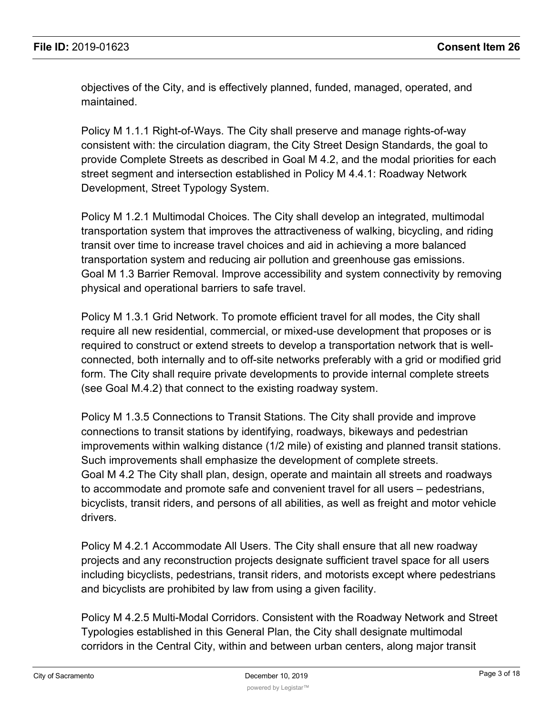objectives of the City, and is effectively planned, funded, managed, operated, and maintained.

Policy M 1.1.1 Right-of-Ways. The City shall preserve and manage rights-of-way consistent with: the circulation diagram, the City Street Design Standards, the goal to provide Complete Streets as described in Goal M 4.2, and the modal priorities for each street segment and intersection established in Policy M 4.4.1: Roadway Network Development, Street Typology System.

Policy M 1.2.1 Multimodal Choices. The City shall develop an integrated, multimodal transportation system that improves the attractiveness of walking, bicycling, and riding transit over time to increase travel choices and aid in achieving a more balanced transportation system and reducing air pollution and greenhouse gas emissions. Goal M 1.3 Barrier Removal. Improve accessibility and system connectivity by removing physical and operational barriers to safe travel.

Policy M 1.3.1 Grid Network. To promote efficient travel for all modes, the City shall require all new residential, commercial, or mixed-use development that proposes or is required to construct or extend streets to develop a transportation network that is wellconnected, both internally and to off-site networks preferably with a grid or modified grid form. The City shall require private developments to provide internal complete streets (see Goal M.4.2) that connect to the existing roadway system.

Policy M 1.3.5 Connections to Transit Stations. The City shall provide and improve connections to transit stations by identifying, roadways, bikeways and pedestrian improvements within walking distance (1/2 mile) of existing and planned transit stations. Such improvements shall emphasize the development of complete streets. Goal M 4.2 The City shall plan, design, operate and maintain all streets and roadways to accommodate and promote safe and convenient travel for all users – pedestrians, bicyclists, transit riders, and persons of all abilities, as well as freight and motor vehicle drivers.

Policy M 4.2.1 Accommodate All Users. The City shall ensure that all new roadway projects and any reconstruction projects designate sufficient travel space for all users including bicyclists, pedestrians, transit riders, and motorists except where pedestrians and bicyclists are prohibited by law from using a given facility.

Policy M 4.2.5 Multi-Modal Corridors. Consistent with the Roadway Network and Street Typologies established in this General Plan, the City shall designate multimodal corridors in the Central City, within and between urban centers, along major transit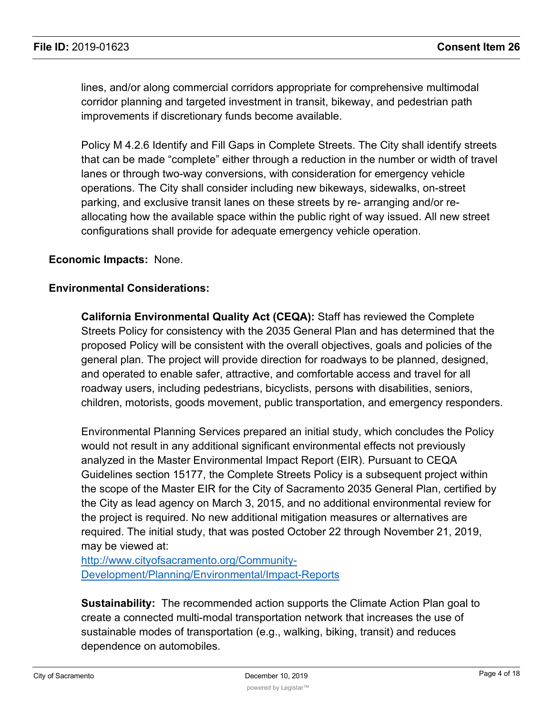lines, and/or along commercial corridors appropriate for comprehensive multimodal corridor planning and targeted investment in transit, bikeway, and pedestrian path improvements if discretionary funds become available.

Policy M 4.2.6 Identify and Fill Gaps in Complete Streets. The City shall identify streets that can be made "complete" either through a reduction in the number or width of travel lanes or through two-way conversions, with consideration for emergency vehicle operations. The City shall consider including new bikeways, sidewalks, on-street parking, and exclusive transit lanes on these streets by re- arranging and/or reallocating how the available space within the public right of way issued. All new street configurations shall provide for adequate emergency vehicle operation.

#### **Economic Impacts:** None.

#### **Environmental Considerations:**

**California Environmental Quality Act (CEQA):** Staff has reviewed the Complete Streets Policy for consistency with the 2035 General Plan and has determined that the proposed Policy will be consistent with the overall objectives, goals and policies of the general plan. The project will provide direction for roadways to be planned, designed, and operated to enable safer, attractive, and comfortable access and travel for all roadway users, including pedestrians, bicyclists, persons with disabilities, seniors, children, motorists, goods movement, public transportation, and emergency responders.

Environmental Planning Services prepared an initial study, which concludes the Policy would not result in any additional significant environmental effects not previously analyzed in the Master Environmental Impact Report (EIR). Pursuant to CEQA Guidelines section 15177, the Complete Streets Policy is a subsequent project within the scope of the Master EIR for the City of Sacramento 2035 General Plan, certified by the City as lead agency on March 3, 2015, and no additional environmental review for the project is required. No new additional mitigation measures or alternatives are required. The initial study, that was posted October 22 through November 21, 2019, may be viewed at:

[http://www.cityofsacramento.org/Community-](http://www.cityofsacramento.org/Community-Development/Planning/Environmental/Impact-Reports)[Development/Planning/Environmental/Impact-Reports](http://www.cityofsacramento.org/Community-Development/Planning/Environmental/Impact-Reports)

**Sustainability:** The recommended action supports the Climate Action Plan goal to create a connected multi-modal transportation network that increases the use of sustainable modes of transportation (e.g., walking, biking, transit) and reduces dependence on automobiles.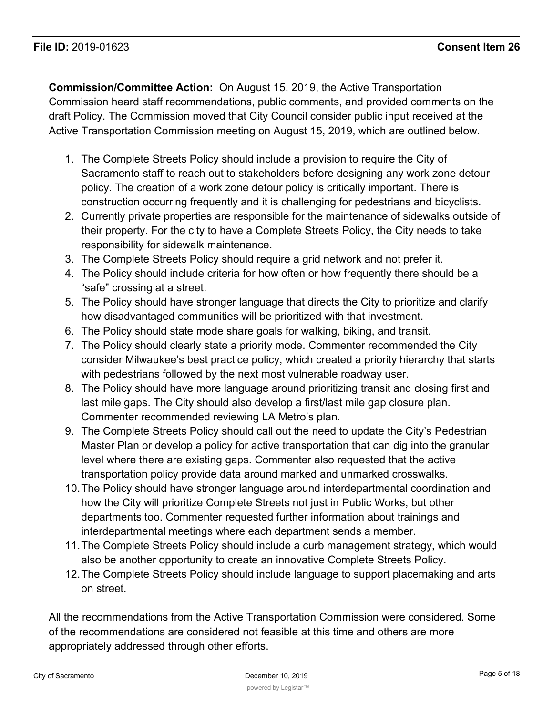**Commission/Committee Action:** On August 15, 2019, the Active Transportation Commission heard staff recommendations, public comments, and provided comments on the draft Policy. The Commission moved that City Council consider public input received at the Active Transportation Commission meeting on August 15, 2019, which are outlined below.

- 1. The Complete Streets Policy should include a provision to require the City of Sacramento staff to reach out to stakeholders before designing any work zone detour policy. The creation of a work zone detour policy is critically important. There is construction occurring frequently and it is challenging for pedestrians and bicyclists.
- 2. Currently private properties are responsible for the maintenance of sidewalks outside of their property. For the city to have a Complete Streets Policy, the City needs to take responsibility for sidewalk maintenance.
- 3. The Complete Streets Policy should require a grid network and not prefer it.
- 4. The Policy should include criteria for how often or how frequently there should be a "safe" crossing at a street.
- 5. The Policy should have stronger language that directs the City to prioritize and clarify how disadvantaged communities will be prioritized with that investment.
- 6. The Policy should state mode share goals for walking, biking, and transit.
- 7. The Policy should clearly state a priority mode. Commenter recommended the City consider Milwaukee's best practice policy, which created a priority hierarchy that starts with pedestrians followed by the next most vulnerable roadway user.
- 8. The Policy should have more language around prioritizing transit and closing first and last mile gaps. The City should also develop a first/last mile gap closure plan. Commenter recommended reviewing LA Metro's plan.
- 9. The Complete Streets Policy should call out the need to update the City's Pedestrian Master Plan or develop a policy for active transportation that can dig into the granular level where there are existing gaps. Commenter also requested that the active transportation policy provide data around marked and unmarked crosswalks.
- 10.The Policy should have stronger language around interdepartmental coordination and how the City will prioritize Complete Streets not just in Public Works, but other departments too. Commenter requested further information about trainings and interdepartmental meetings where each department sends a member.
- 11.The Complete Streets Policy should include a curb management strategy, which would also be another opportunity to create an innovative Complete Streets Policy.
- 12.The Complete Streets Policy should include language to support placemaking and arts on street.

All the recommendations from the Active Transportation Commission were considered. Some of the recommendations are considered not feasible at this time and others are more appropriately addressed through other efforts.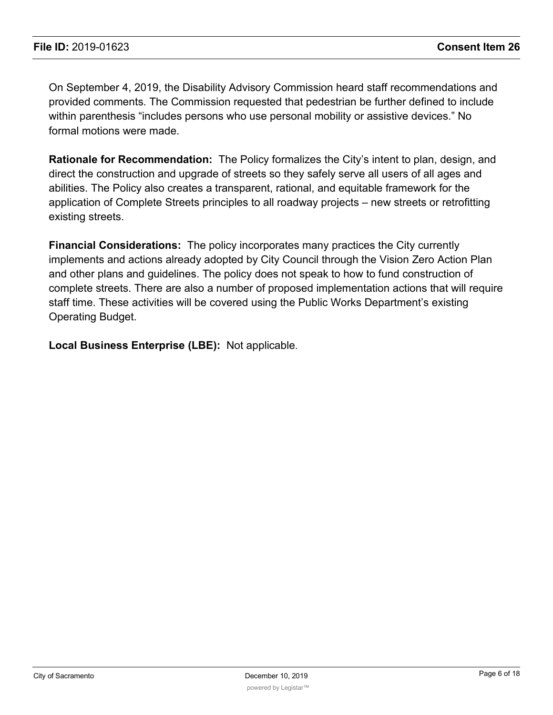On September 4, 2019, the Disability Advisory Commission heard staff recommendations and provided comments. The Commission requested that pedestrian be further defined to include within parenthesis "includes persons who use personal mobility or assistive devices." No formal motions were made.

**Rationale for Recommendation:** The Policy formalizes the City's intent to plan, design, and direct the construction and upgrade of streets so they safely serve all users of all ages and abilities. The Policy also creates a transparent, rational, and equitable framework for the application of Complete Streets principles to all roadway projects – new streets or retrofitting existing streets.

**Financial Considerations:** The policy incorporates many practices the City currently implements and actions already adopted by City Council through the Vision Zero Action Plan and other plans and guidelines. The policy does not speak to how to fund construction of complete streets. There are also a number of proposed implementation actions that will require staff time. These activities will be covered using the Public Works Department's existing Operating Budget.

**Local Business Enterprise (LBE):** Not applicable.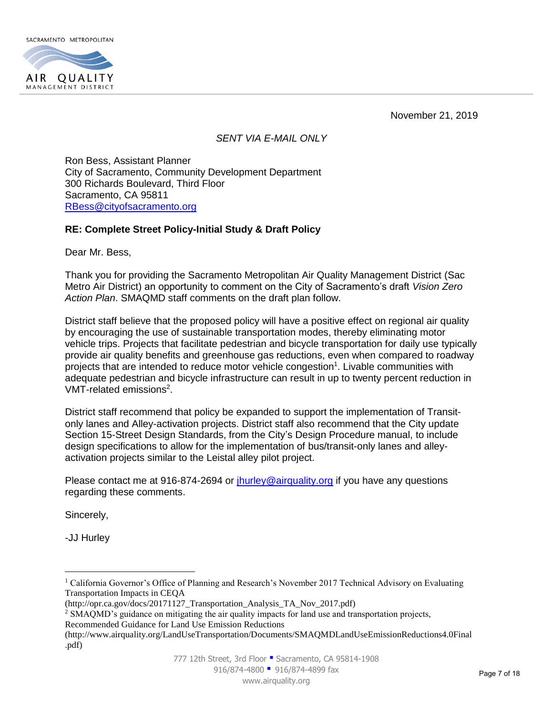

November 21, 2019

#### *SENT VIA E-MAIL ONLY*

Ron Bess, Assistant Planner City of Sacramento, Community Development Department 300 Richards Boulevard, Third Floor Sacramento, CA 95811 [RBess@cityofsacramento.org](mailto:RBess@cityofsacramento.org)

#### **RE: Complete Street Policy-Initial Study & Draft Policy**

Dear Mr. Bess,

Thank you for providing the Sacramento Metropolitan Air Quality Management District (Sac Metro Air District) an opportunity to comment on the City of Sacramento's draft *Vision Zero Action Plan*. SMAQMD staff comments on the draft plan follow.

District staff believe that the proposed policy will have a positive effect on regional air quality by encouraging the use of sustainable transportation modes, thereby eliminating motor vehicle trips. Projects that facilitate pedestrian and bicycle transportation for daily use typically provide air quality benefits and greenhouse gas reductions, even when compared to roadway projects that are intended to reduce motor vehicle congestion<sup>1</sup>. Livable communities with adequate pedestrian and bicycle infrastructure can result in up to twenty percent reduction in VMT-related emissions<sup>2</sup>.

District staff recommend that policy be expanded to support the implementation of Transitonly lanes and Alley-activation projects. District staff also recommend that the City update Section 15-Street Design Standards, from the City's Design Procedure manual, to include design specifications to allow for the implementation of bus/transit-only lanes and alleyactivation projects similar to the Leistal alley pilot project.

Please contact me at 916-874-2694 or *jhurley@airquality.org* if you have any questions regarding these comments.

Sincerely,

-JJ Hurley

 $\overline{a}$ 

<sup>&</sup>lt;sup>1</sup> California Governor's Office of Planning and Research's November 2017 Technical Advisory on Evaluating Transportation Impacts in CEQA

<sup>(</sup>http://opr.ca.gov/docs/20171127\_Transportation\_Analysis\_TA\_Nov\_2017.pdf)

<sup>&</sup>lt;sup>2</sup> SMAQMD's guidance on mitigating the air quality impacts for land use and transportation projects,

Recommended Guidance for Land Use Emission Reductions

<sup>(</sup>http://www.airquality.org/LandUseTransportation/Documents/SMAQMDLandUseEmissionReductions4.0Final .pdf)

<sup>777 12</sup>th Street, 3rd Floor · Sacramento, CA 95814-1908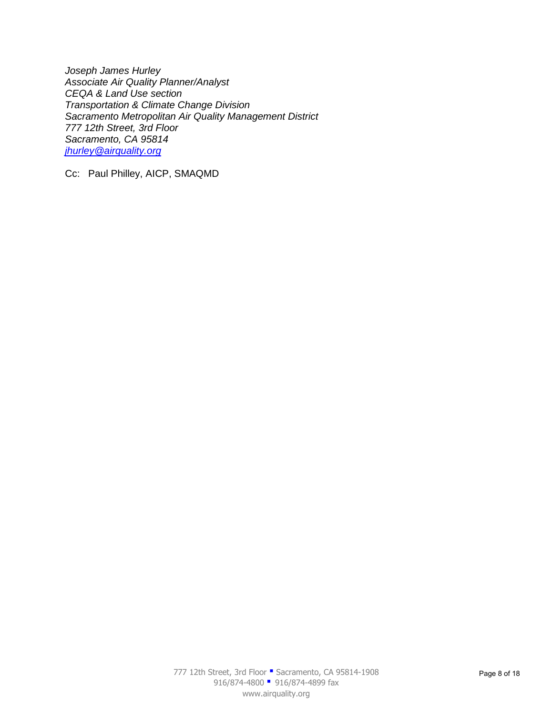*Joseph James Hurley Associate Air Quality Planner/Analyst CEQA & Land Use section Transportation & Climate Change Division Sacramento Metropolitan Air Quality Management District 777 12th Street, 3rd Floor Sacramento, CA 95814 [jhurley@airquality.org](mailto:jhurley@airquality.org)* 

Cc: Paul Philley, AICP, SMAQMD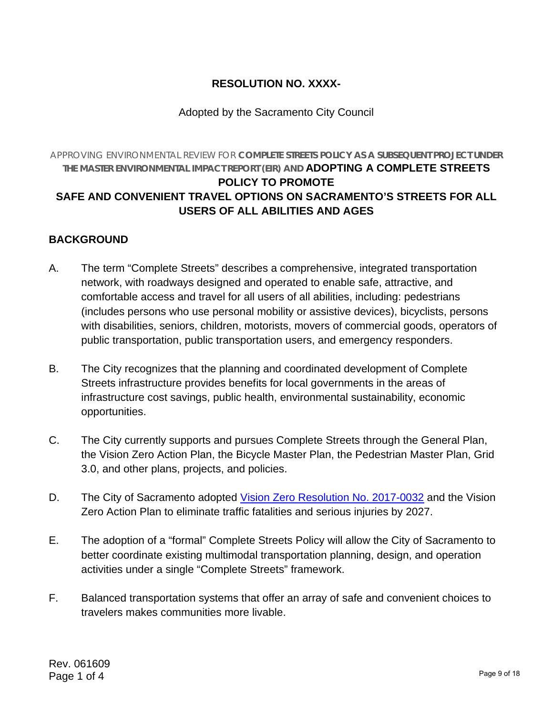# **RESOLUTION NO. XXXX-**

## Adopted by the Sacramento City Council

## APPROVING ENVIRONMENTAL REVIEW FOR **COMPLETE STREETS POLICY AS A SUBSEQUENT PROJECT UNDER THE MASTER ENVIRONMENTAL IMPACT REPORT (EIR) AND ADOPTING A COMPLETE STREETS POLICY TO PROMOTE SAFE AND CONVENIENT TRAVEL OPTIONS ON SACRAMENTO'S STREETS FOR ALL USERS OF ALL ABILITIES AND AGES**

### **BACKGROUND**

- A. The term "Complete Streets" describes a comprehensive, integrated transportation network, with roadways designed and operated to enable safe, attractive, and comfortable access and travel for all users of all abilities, including: pedestrians (includes persons who use personal mobility or assistive devices), bicyclists, persons with disabilities, seniors, children, motorists, movers of commercial goods, operators of public transportation, public transportation users, and emergency responders.
- B. The City recognizes that the planning and coordinated development of Complete Streets infrastructure provides benefits for local governments in the areas of infrastructure cost savings, public health, environmental sustainability, economic opportunities.
- C. The City currently supports and pursues Complete Streets through the General Plan, the Vision Zero Action Plan, the Bicycle Master Plan, the Pedestrian Master Plan, Grid 3.0, and other plans, projects, and policies.
- D. The City of Sacramento adopted Vision Zero Resolution No. 2017-0032 and the Vision Zero Action Plan to eliminate traffic fatalities and serious injuries by 2027.
- E. The adoption of a "formal" Complete Streets Policy will allow the City of Sacramento to better coordinate existing multimodal transportation planning, design, and operation activities under a single "Complete Streets" framework.
- F. Balanced transportation systems that offer an array of safe and convenient choices to travelers makes communities more livable.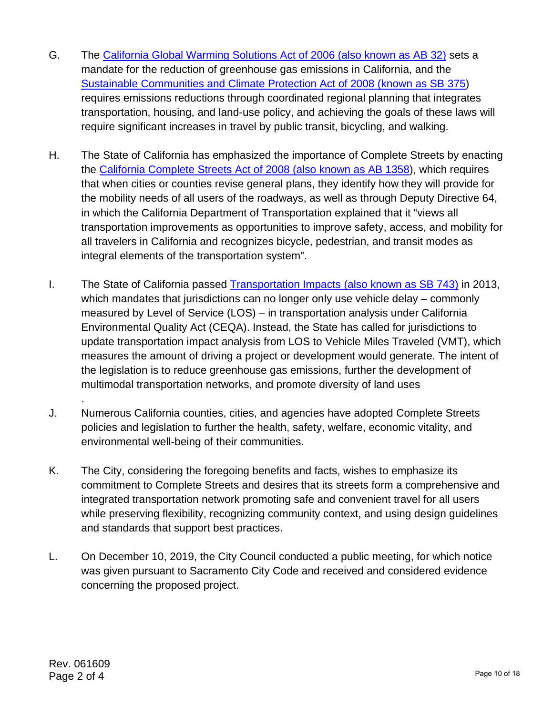- G. The California Global Warming Solutions Act of 2006 (also known as AB 32) sets a mandate for the reduction of greenhouse gas emissions in California, and the Sustainable Communities and Climate Protection Act of 2008 (known as SB 375) requires emissions reductions through coordinated regional planning that integrates transportation, housing, and land-use policy, and achieving the goals of these laws will require significant increases in travel by public transit, bicycling, and walking.
- H. The State of California has emphasized the importance of Complete Streets by enacting the California Complete Streets Act of 2008 (also known as AB 1358), which requires that when cities or counties revise general plans, they identify how they will provide for the mobility needs of all users of the roadways, as well as through Deputy Directive 64, in which the California Department of Transportation explained that it "views all transportation improvements as opportunities to improve safety, access, and mobility for all travelers in California and recognizes bicycle, pedestrian, and transit modes as integral elements of the transportation system".
- I. The State of California passed Transportation Impacts (also known as SB 743) in 2013, which mandates that jurisdictions can no longer only use vehicle delay – commonly measured by Level of Service (LOS) – in transportation analysis under California Environmental Quality Act (CEQA). Instead, the State has called for jurisdictions to update transportation impact analysis from LOS to Vehicle Miles Traveled (VMT), which measures the amount of driving a project or development would generate. The intent of the legislation is to reduce greenhouse gas emissions, further the development of multimodal transportation networks, and promote diversity of land uses
- J. Numerous California counties, cities, and agencies have adopted Complete Streets policies and legislation to further the health, safety, welfare, economic vitality, and environmental well-being of their communities.
- K. The City, considering the foregoing benefits and facts, wishes to emphasize its commitment to Complete Streets and desires that its streets form a comprehensive and integrated transportation network promoting safe and convenient travel for all users while preserving flexibility, recognizing community context, and using design guidelines and standards that support best practices.
- L. On December 10, 2019, the City Council conducted a public meeting, for which notice was given pursuant to Sacramento City Code and received and considered evidence concerning the proposed project.

.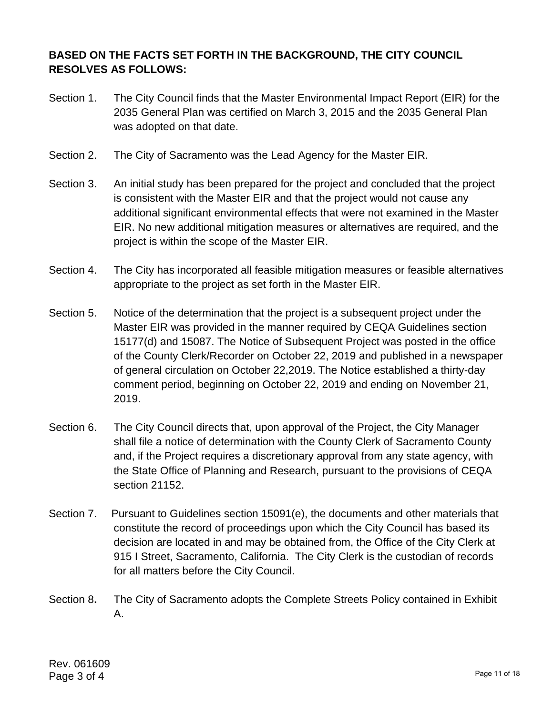## **BASED ON THE FACTS SET FORTH IN THE BACKGROUND, THE CITY COUNCIL RESOLVES AS FOLLOWS:**

- Section 1. The City Council finds that the Master Environmental Impact Report (EIR) for the 2035 General Plan was certified on March 3, 2015 and the 2035 General Plan was adopted on that date.
- Section 2. The City of Sacramento was the Lead Agency for the Master EIR.
- Section 3. An initial study has been prepared for the project and concluded that the project is consistent with the Master EIR and that the project would not cause any additional significant environmental effects that were not examined in the Master EIR. No new additional mitigation measures or alternatives are required, and the project is within the scope of the Master EIR.
- Section 4. The City has incorporated all feasible mitigation measures or feasible alternatives appropriate to the project as set forth in the Master EIR.
- Section 5. Notice of the determination that the project is a subsequent project under the Master EIR was provided in the manner required by CEQA Guidelines section 15177(d) and 15087. The Notice of Subsequent Project was posted in the office of the County Clerk/Recorder on October 22, 2019 and published in a newspaper of general circulation on October 22,2019. The Notice established a thirty-day comment period, beginning on October 22, 2019 and ending on November 21, 2019.
- Section 6. The City Council directs that, upon approval of the Project, the City Manager shall file a notice of determination with the County Clerk of Sacramento County and, if the Project requires a discretionary approval from any state agency, with the State Office of Planning and Research, pursuant to the provisions of CEQA section 21152.
- Section 7. Pursuant to Guidelines section 15091(e), the documents and other materials that constitute the record of proceedings upon which the City Council has based its decision are located in and may be obtained from, the Office of the City Clerk at 915 I Street, Sacramento, California. The City Clerk is the custodian of records for all matters before the City Council.
- Section 8**.** The City of Sacramento adopts the Complete Streets Policy contained in Exhibit A.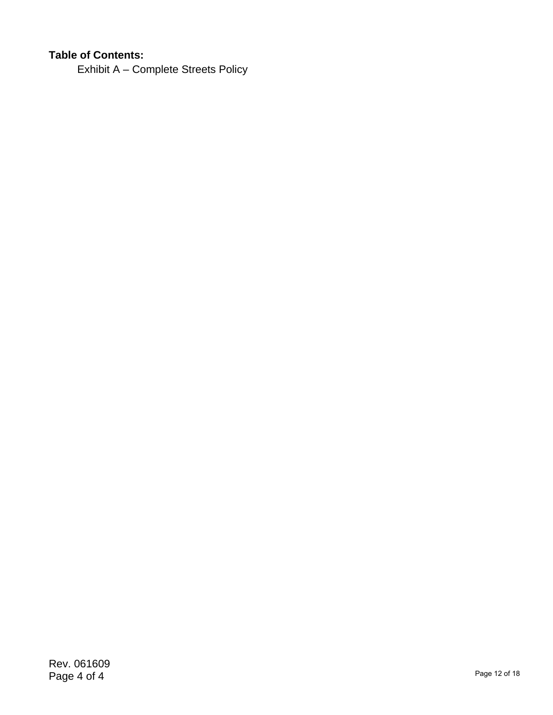# **Table of Contents:**

Exhibit A – Complete Streets Policy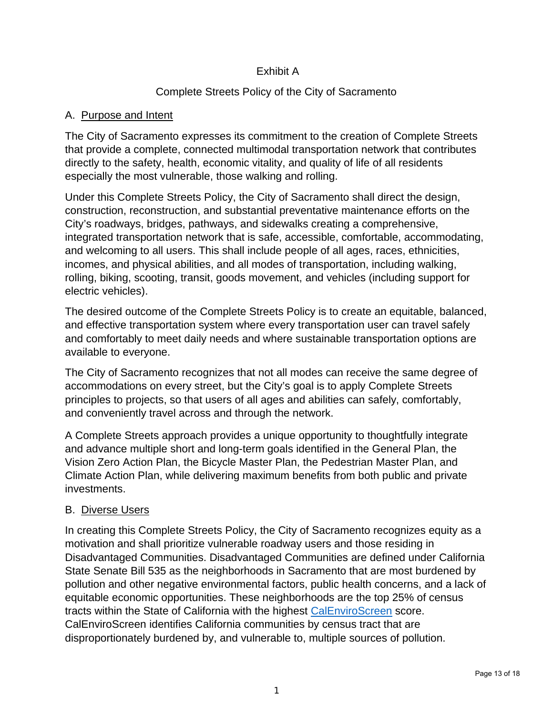### Exhibit A

# Complete Streets Policy of the City of Sacramento

### A. Purpose and Intent

The City of Sacramento expresses its commitment to the creation of Complete Streets that provide a complete, connected multimodal transportation network that contributes directly to the safety, health, economic vitality, and quality of life of all residents especially the most vulnerable, those walking and rolling.

Under this Complete Streets Policy, the City of Sacramento shall direct the design, construction, reconstruction, and substantial preventative maintenance efforts on the City's roadways, bridges, pathways, and sidewalks creating a comprehensive, integrated transportation network that is safe, accessible, comfortable, accommodating, and welcoming to all users. This shall include people of all ages, races, ethnicities, incomes, and physical abilities, and all modes of transportation, including walking, rolling, biking, scooting, transit, goods movement, and vehicles (including support for electric vehicles).

The desired outcome of the Complete Streets Policy is to create an equitable, balanced, and effective transportation system where every transportation user can travel safely and comfortably to meet daily needs and where sustainable transportation options are available to everyone.

The City of Sacramento recognizes that not all modes can receive the same degree of accommodations on every street, but the City's goal is to apply Complete Streets principles to projects, so that users of all ages and abilities can safely, comfortably, and conveniently travel across and through the network.

A Complete Streets approach provides a unique opportunity to thoughtfully integrate and advance multiple short and long-term goals identified in the General Plan, the Vision Zero Action Plan, the Bicycle Master Plan, the Pedestrian Master Plan, and Climate Action Plan, while delivering maximum benefits from both public and private investments.

### B. Diverse Users

In creating this Complete Streets Policy, the City of Sacramento recognizes equity as a motivation and shall prioritize vulnerable roadway users and those residing in Disadvantaged Communities. Disadvantaged Communities are defined under California State Senate Bill 535 as the neighborhoods in Sacramento that are most burdened by pollution and other negative environmental factors, public health concerns, and a lack of equitable economic opportunities. These neighborhoods are the top 25% of census tracts within the State of California with the highest CalEnviroScreen score. CalEnviroScreen identifies California communities by census tract that are disproportionately burdened by, and vulnerable to, multiple sources of pollution.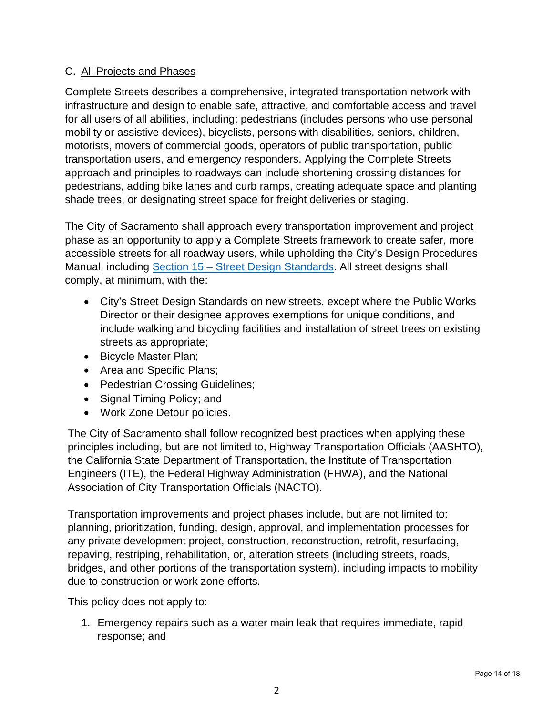### C. All Projects and Phases

Complete Streets describes a comprehensive, integrated transportation network with infrastructure and design to enable safe, attractive, and comfortable access and travel for all users of all abilities, including: pedestrians (includes persons who use personal mobility or assistive devices), bicyclists, persons with disabilities, seniors, children, motorists, movers of commercial goods, operators of public transportation, public transportation users, and emergency responders. Applying the Complete Streets approach and principles to roadways can include shortening crossing distances for pedestrians, adding bike lanes and curb ramps, creating adequate space and planting shade trees, or designating street space for freight deliveries or staging.

The City of Sacramento shall approach every transportation improvement and project phase as an opportunity to apply a Complete Streets framework to create safer, more accessible streets for all roadway users, while upholding the City's Design Procedures Manual, including Section 15 – Street Design Standards. All street designs shall comply, at minimum, with the:

- City's Street Design Standards on new streets, except where the Public Works Director or their designee approves exemptions for unique conditions, and include walking and bicycling facilities and installation of street trees on existing streets as appropriate;
- Bicycle Master Plan;
- Area and Specific Plans;
- Pedestrian Crossing Guidelines;
- Signal Timing Policy; and
- Work Zone Detour policies.

The City of Sacramento shall follow recognized best practices when applying these principles including, but are not limited to, Highway Transportation Officials (AASHTO), the California State Department of Transportation, the Institute of Transportation Engineers (ITE), the Federal Highway Administration (FHWA), and the National Association of City Transportation Officials (NACTO).

Transportation improvements and project phases include, but are not limited to: planning, prioritization, funding, design, approval, and implementation processes for any private development project, construction, reconstruction, retrofit, resurfacing, repaving, restriping, rehabilitation, or, alteration streets (including streets, roads, bridges, and other portions of the transportation system), including impacts to mobility due to construction or work zone efforts.

This policy does not apply to:

1. Emergency repairs such as a water main leak that requires immediate, rapid response; and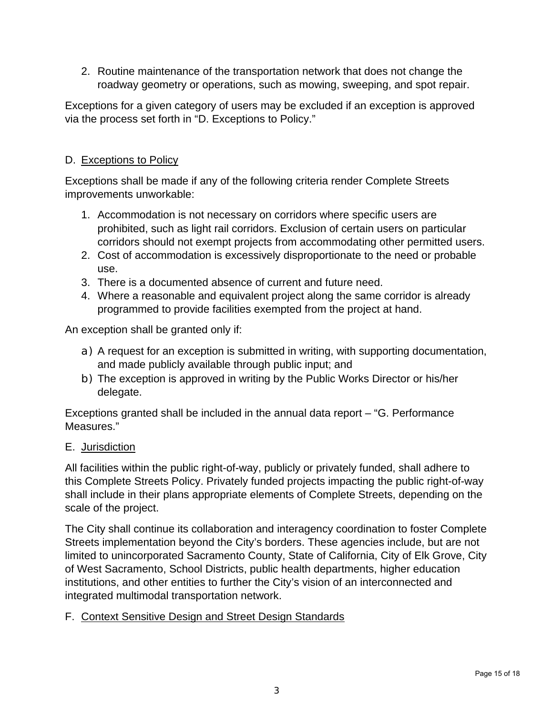2. Routine maintenance of the transportation network that does not change the roadway geometry or operations, such as mowing, sweeping, and spot repair.

Exceptions for a given category of users may be excluded if an exception is approved via the process set forth in "D. Exceptions to Policy."

# D. Exceptions to Policy

Exceptions shall be made if any of the following criteria render Complete Streets improvements unworkable:

- 1. Accommodation is not necessary on corridors where specific users are prohibited, such as light rail corridors. Exclusion of certain users on particular corridors should not exempt projects from accommodating other permitted users.
- 2. Cost of accommodation is excessively disproportionate to the need or probable use.
- 3. There is a documented absence of current and future need.
- 4. Where a reasonable and equivalent project along the same corridor is already programmed to provide facilities exempted from the project at hand.

An exception shall be granted only if:

- a) A request for an exception is submitted in writing, with supporting documentation, and made publicly available through public input; and
- b) The exception is approved in writing by the Public Works Director or his/her delegate.

Exceptions granted shall be included in the annual data report – "G. Performance Measures."

### E. Jurisdiction

All facilities within the public right-of-way, publicly or privately funded, shall adhere to this Complete Streets Policy. Privately funded projects impacting the public right-of-way shall include in their plans appropriate elements of Complete Streets, depending on the scale of the project.

The City shall continue its collaboration and interagency coordination to foster Complete Streets implementation beyond the City's borders. These agencies include, but are not limited to unincorporated Sacramento County, State of California, City of Elk Grove, City of West Sacramento, School Districts, public health departments, higher education institutions, and other entities to further the City's vision of an interconnected and integrated multimodal transportation network.

### F. Context Sensitive Design and Street Design Standards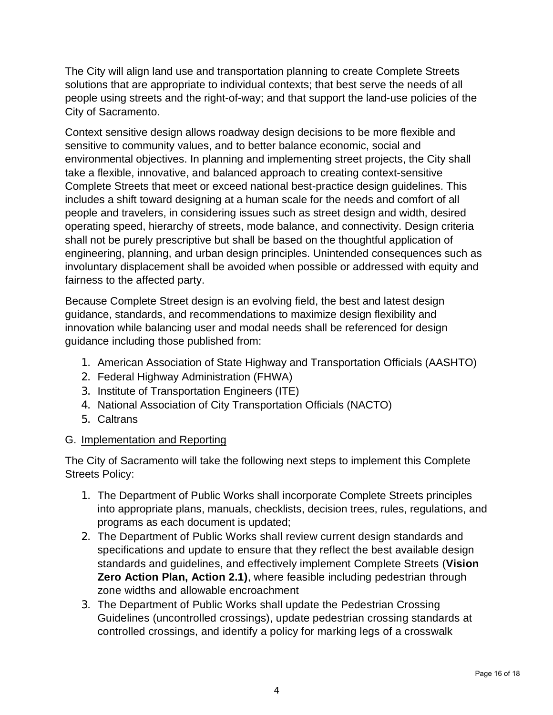The City will align land use and transportation planning to create Complete Streets solutions that are appropriate to individual contexts; that best serve the needs of all people using streets and the right-of-way; and that support the land-use policies of the City of Sacramento.

Context sensitive design allows roadway design decisions to be more flexible and sensitive to community values, and to better balance economic, social and environmental objectives. In planning and implementing street projects, the City shall take a flexible, innovative, and balanced approach to creating context-sensitive Complete Streets that meet or exceed national best-practice design guidelines. This includes a shift toward designing at a human scale for the needs and comfort of all people and travelers, in considering issues such as street design and width, desired operating speed, hierarchy of streets, mode balance, and connectivity. Design criteria shall not be purely prescriptive but shall be based on the thoughtful application of engineering, planning, and urban design principles. Unintended consequences such as involuntary displacement shall be avoided when possible or addressed with equity and fairness to the affected party.

Because Complete Street design is an evolving field, the best and latest design guidance, standards, and recommendations to maximize design flexibility and innovation while balancing user and modal needs shall be referenced for design guidance including those published from:

- 1. American Association of State Highway and Transportation Officials (AASHTO)
- 2. Federal Highway Administration (FHWA)
- 3. Institute of Transportation Engineers (ITE)
- 4. National Association of City Transportation Officials (NACTO)
- 5. Caltrans

### G. Implementation and Reporting

The City of Sacramento will take the following next steps to implement this Complete Streets Policy:

- 1. The Department of Public Works shall incorporate Complete Streets principles into appropriate plans, manuals, checklists, decision trees, rules, regulations, and programs as each document is updated;
- 2. The Department of Public Works shall review current design standards and specifications and update to ensure that they reflect the best available design standards and guidelines, and effectively implement Complete Streets (**Vision Zero Action Plan, Action 2.1)**, where feasible including pedestrian through zone widths and allowable encroachment
- 3. The Department of Public Works shall update the Pedestrian Crossing Guidelines (uncontrolled crossings), update pedestrian crossing standards at controlled crossings, and identify a policy for marking legs of a crosswalk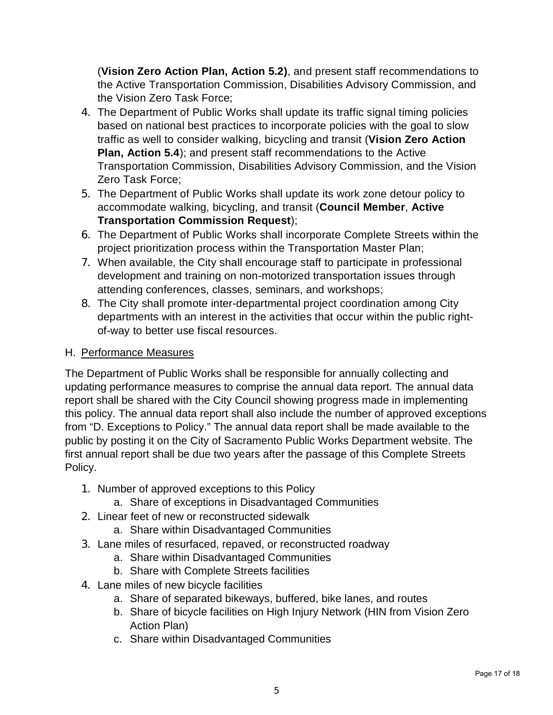(**Vision Zero Action Plan, Action 5.2)**, and present staff recommendations to the Active Transportation Commission, Disabilities Advisory Commission, and the Vision Zero Task Force;

- 4. The Department of Public Works shall update its traffic signal timing policies based on national best practices to incorporate policies with the goal to slow traffic as well to consider walking, bicycling and transit (**Vision Zero Action Plan, Action 5.4**); and present staff recommendations to the Active Transportation Commission, Disabilities Advisory Commission, and the Vision Zero Task Force;
- 5. The Department of Public Works shall update its work zone detour policy to accommodate walking, bicycling, and transit (**Council Member**, **Active Transportation Commission Request**);
- 6. The Department of Public Works shall incorporate Complete Streets within the project prioritization process within the Transportation Master Plan;
- 7. When available, the City shall encourage staff to participate in professional development and training on non-motorized transportation issues through attending conferences, classes, seminars, and workshops;
- 8. The City shall promote inter-departmental project coordination among City departments with an interest in the activities that occur within the public rightof-way to better use fiscal resources.

# H. Performance Measures

The Department of Public Works shall be responsible for annually collecting and updating performance measures to comprise the annual data report. The annual data report shall be shared with the City Council showing progress made in implementing this policy. The annual data report shall also include the number of approved exceptions from "D. Exceptions to Policy." The annual data report shall be made available to the public by posting it on the City of Sacramento Public Works Department website. The first annual report shall be due two years after the passage of this Complete Streets Policy.

- 1. Number of approved exceptions to this Policy
	- a. Share of exceptions in Disadvantaged Communities
- 2. Linear feet of new or reconstructed sidewalk
	- a. Share within Disadvantaged Communities
- 3. Lane miles of resurfaced, repaved, or reconstructed roadway
	- a. Share within Disadvantaged Communities
	- b. Share with Complete Streets facilities
- 4. Lane miles of new bicycle facilities
	- a. Share of separated bikeways, buffered, bike lanes, and routes
	- b. Share of bicycle facilities on High Injury Network (HIN from Vision Zero Action Plan)
	- c. Share within Disadvantaged Communities